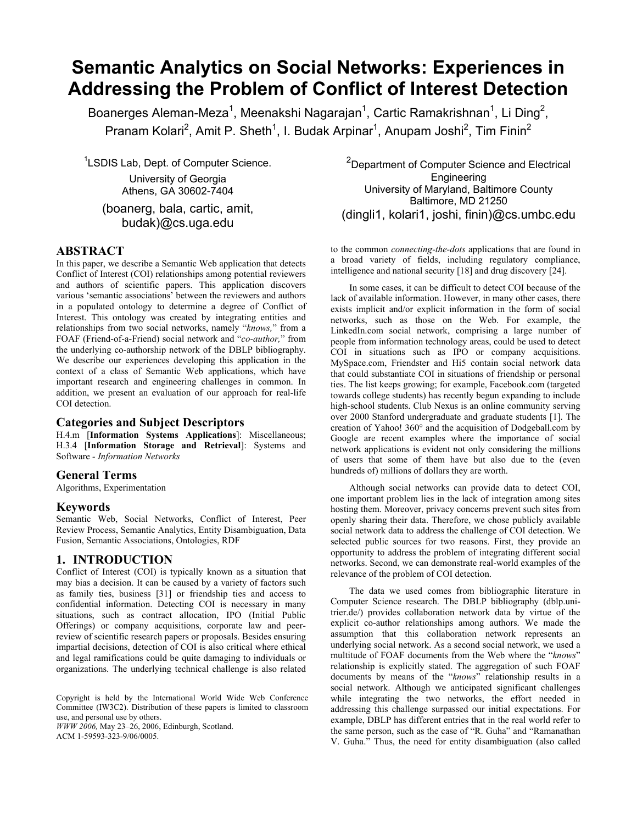# **Semantic Analytics on Social Networks: Experiences in Addressing the Problem of Conflict of Interest Detection**

[Boanerges Aleman-Meza](http://lsdis.cs.uga.edu/~aleman/)<sup>1</sup>, Meenakshi Nagarajan<sup>1</sup>, Cartic Ramakrishnan<sup>1</sup>, Li Ding<sup>2</sup>, Pranam Kolari<sup>2</sup>, Amit P. Sheth<sup>1</sup>, I. Budak Arpinar<sup>1</sup>, Anupam Joshi<sup>2</sup>, Tim Finin<sup>2</sup>

<sup>1</sup>[LSDIS Lab,](http://lsdis.cs.uga.edu/) Dept. of Computer Science.

University of Georgia Athens, GA 30602-7404

(boanerg, bala, cartic, amit, budak)@cs.uga.edu

# **ABSTRACT**

In this paper, we describe a Semantic Web application that detects Conflict of Interest (COI) relationships among potential reviewers and authors of scientific papers. This application discovers various 'semantic associations' between the reviewers and authors in a populated ontology to determine a degree of Conflict of Interest. This ontology was created by integrating entities and relationships from two social networks, namely "*knows,*" from a FOAF (Friend-of-a-Friend) social network and "*co-author,*" from the underlying co-authorship network of the DBLP bibliography. We describe our experiences developing this application in the context of a class of Semantic Web applications, which have important research and engineering challenges in common. In addition, we present an evaluation of our approach for real-life COI detection.

## **Categories and Subject Descriptors**

H.4.m [**Information Systems Applications**]: Miscellaneous; H.3.4 [**Information Storage and Retrieval**]: Systems and Software *- Information Networks* 

# **General Terms**

Algorithms, Experimentation

## **Keywords**

Semantic Web, Social Networks, Conflict of Interest, Peer Review Process, Semantic Analytics, Entity Disambiguation, Data Fusion, Semantic Associations, Ontologies, RDF

## **1. INTRODUCTION**

Conflict of Interest (COI) is typically known as a situation that may bias a decision. It can be caused by a variety of factors such as family ties, business [31] or friendship ties and access to confidential information. Detecting COI is necessary in many situations, such as contract allocation, IPO (Initial Public Offerings) or company acquisitions, corporate law and peerreview of scientific research papers or proposals. Besides ensuring impartial decisions, detection of COI is also critical where ethical and legal ramifications could be quite damaging to individuals or organizations. The underlying technical challenge is also related

*WWW 2006,* May 23–26, 2006, Edinburgh, Scotland. ACM 1-59593-323-9/06/0005.

<sup>2</sup>Department of Computer Science and Electrical Engineering University of Maryland, Baltimore County Baltimore, MD 21250 (dingli1, kolari1, joshi, finin)@cs.umbc.edu

to the common *connecting-the-dots* applications that are found in a broad variety of fields, including regulatory compliance, intelligence and national security [18] and drug discovery [24].

In some cases, it can be difficult to detect COI because of the lack of available information. However, in many other cases, there exists implicit and/or explicit information in the form of social networks, such as those on the Web. For example, the LinkedIn.com social network, comprising a large number of people from information technology areas, could be used to detect COI in situations such as IPO or company acquisitions. MySpace.com, Friendster and Hi5 contain social network data that could substantiate COI in situations of friendship or personal ties. The list keeps growing; for example, Facebook.com (targeted towards college students) has recently begun expanding to include high-school students. Club Nexus is an online community serving over 2000 Stanford undergraduate and graduate students [1]. The creation of Yahoo! 360° and the acquisition of Dodgeball.com by Google are recent examples where the importance of social network applications is evident not only considering the millions of users that some of them have but also due to the (even hundreds of) millions of dollars they are worth.

Although social networks can provide data to detect COI, one important problem lies in the lack of integration among sites hosting them. Moreover, privacy concerns prevent such sites from openly sharing their data. Therefore, we chose publicly available social network data to address the challenge of COI detection. We selected public sources for two reasons. First, they provide an opportunity to address the problem of integrating different social networks. Second, we can demonstrate real-world examples of the relevance of the problem of COI detection.

The data we used comes from bibliographic literature in Computer Science research. The DBLP bibliography (dblp.unitrier.de/) provides collaboration network data by virtue of the explicit co-author relationships among authors. We made the assumption that this collaboration network represents an underlying social network. As a second social network, we used a multitude of FOAF documents from the Web where the "*knows*" relationship is explicitly stated. The aggregation of such FOAF documents by means of the "*knows*" relationship results in a social network. Although we anticipated significant challenges while integrating the two networks, the effort needed in addressing this challenge surpassed our initial expectations. For example, DBLP has different entries that in the real world refer to the same person, such as the case of "R. Guha" and "Ramanathan V. Guha." Thus, the need for entity disambiguation (also called

Copyright is held by the International World Wide Web Conference Committee (IW3C2). Distribution of these papers is limited to classroom use, and personal use by others.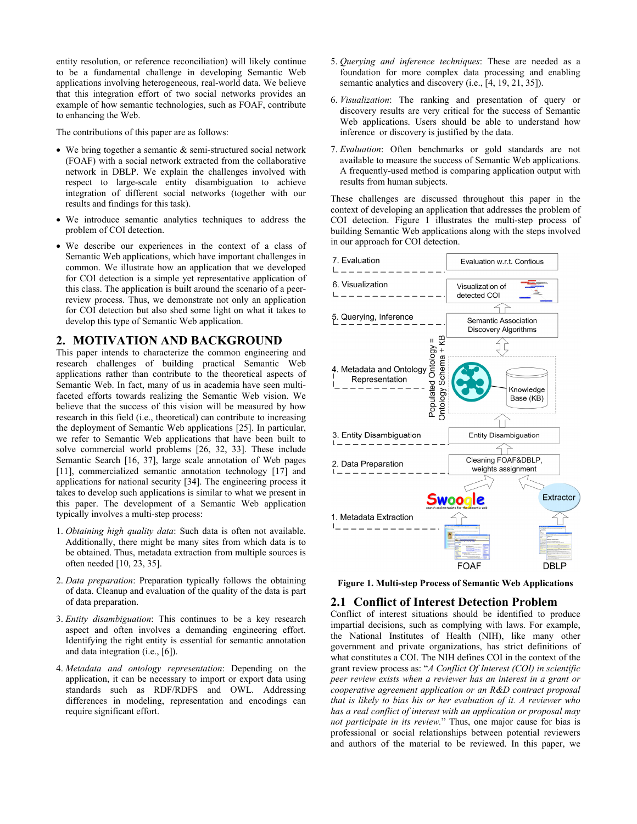entity resolution, or reference reconciliation) will likely continue to be a fundamental challenge in developing Semantic Web applications involving heterogeneous, real-world data. We believe that this integration effort of two social networks provides an example of how semantic technologies, such as FOAF, contribute to enhancing the Web.

The contributions of this paper are as follows:

- We bring together a semantic & semi-structured social network (FOAF) with a social network extracted from the collaborative network in DBLP. We explain the challenges involved with respect to large-scale entity disambiguation to achieve integration of different social networks (together with our results and findings for this task).
- We introduce semantic analytics techniques to address the problem of COI detection.
- We describe our experiences in the context of a class of Semantic Web applications, which have important challenges in common. We illustrate how an application that we developed for COI detection is a simple yet representative application of this class. The application is built around the scenario of a peerreview process. Thus, we demonstrate not only an application for COI detection but also shed some light on what it takes to develop this type of Semantic Web application.

## **2. MOTIVATION AND BACKGROUND**

This paper intends to characterize the common engineering and research challenges of building practical Semantic Web applications rather than contribute to the theoretical aspects of Semantic Web. In fact, many of us in academia have seen multifaceted efforts towards realizing the Semantic Web vision. We believe that the success of this vision will be measured by how research in this field (i.e., theoretical) can contribute to increasing the deployment of Semantic Web applications [25]. In particular, we refer to Semantic Web applications that have been built to solve commercial world problems [26, 32, 33]. These include Semantic Search [16, 37], large scale annotation of Web pages [11], commercialized semantic annotation technology [17] and applications for national security [34]. The engineering process it takes to develop such applications is similar to what we present in this paper. The development of a Semantic Web application typically involves a multi-step process:

- 1. *Obtaining high quality data*: Such data is often not available. Additionally, there might be many sites from which data is to be obtained. Thus, metadata extraction from multiple sources is often needed [10, 23, 35].
- 2. *Data preparation*: Preparation typically follows the obtaining of data. Cleanup and evaluation of the quality of the data is part of data preparation.
- 3. *Entity disambiguation*: This continues to be a key research aspect and often involves a demanding engineering effort. Identifying the right entity is essential for semantic annotation and data integration (i.e., [6]).
- 4. *Metadata and ontology representation*: Depending on the application, it can be necessary to import or export data using standards such as RDF/RDFS and OWL. Addressing differences in modeling, representation and encodings can require significant effort.
- 5. *Querying and inference techniques*: These are needed as a foundation for more complex data processing and enabling semantic analytics and discovery (i.e., [4, 19, 21, 35]).
- 6. *Visualization*: The ranking and presentation of query or discovery results are very critical for the success of Semantic Web applications. Users should be able to understand how inference or discovery is justified by the data.
- 7. *Evaluation*: Often benchmarks or gold standards are not available to measure the success of Semantic Web applications. A frequently-used method is comparing application output with results from human subjects.

These challenges are discussed throughout this paper in the context of developing an application that addresses the problem of COI detection. Figure 1 illustrates the multi-step process of building Semantic Web applications along with the steps involved in our approach for COI detection.



**Figure 1. Multi-step Process of Semantic Web Applications** 

#### **2.1 Conflict of Interest Detection Problem**

Conflict of interest situations should be identified to produce impartial decisions, such as complying with laws. For example, the National Institutes of Health (NIH), like many other government and private organizations, has strict definitions of what constitutes a COI. The NIH defines COI in the context of the grant review process as: "*A Conflict Of Interest (COI) in scientific peer review exists when a reviewer has an interest in a grant or cooperative agreement application or an R&D contract proposal that is likely to bias his or her evaluation of it. A reviewer who has a real conflict of interest with an application or proposal may not participate in its review.*" Thus, one major cause for bias is professional or social relationships between potential reviewers and authors of the material to be reviewed. In this paper, we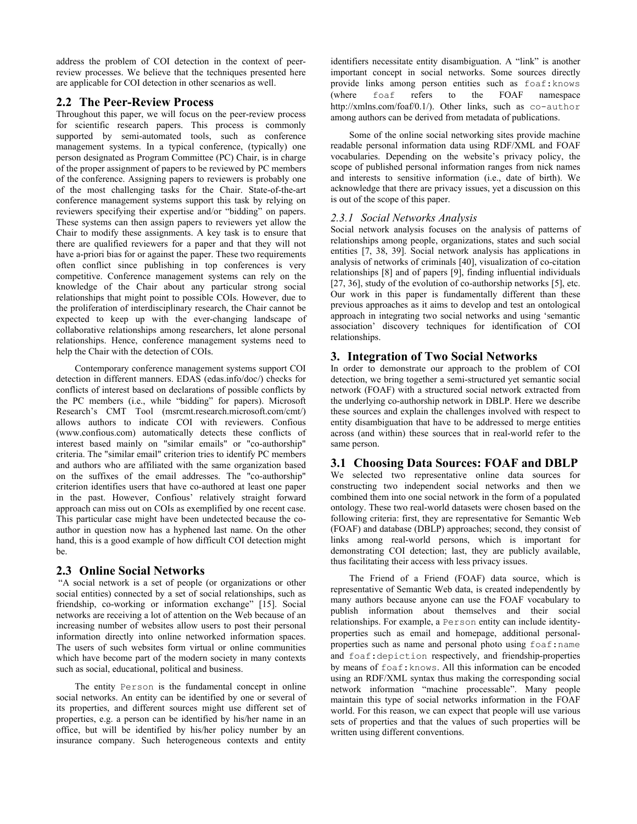address the problem of COI detection in the context of peerreview processes. We believe that the techniques presented here are applicable for COI detection in other scenarios as well.

# **2.2 The Peer-Review Process**

Throughout this paper, we will focus on the peer-review process for scientific research papers. This process is commonly supported by semi-automated tools, such as conference management systems. In a typical conference, (typically) one person designated as Program Committee (PC) Chair, is in charge of the proper assignment of papers to be reviewed by PC members of the conference. Assigning papers to reviewers is probably one of the most challenging tasks for the Chair. State-of-the-art conference management systems support this task by relying on reviewers specifying their expertise and/or "bidding" on papers. These systems can then assign papers to reviewers yet allow the Chair to modify these assignments. A key task is to ensure that there are qualified reviewers for a paper and that they will not have a-priori bias for or against the paper. These two requirements often conflict since publishing in top conferences is very competitive. Conference management systems can rely on the knowledge of the Chair about any particular strong social relationships that might point to possible COIs. However, due to the proliferation of interdisciplinary research, the Chair cannot be expected to keep up with the ever-changing landscape of collaborative relationships among researchers, let alone personal relationships. Hence, conference management systems need to help the Chair with the detection of COIs.

Contemporary conference management systems support COI detection in different manners. EDAS (edas.info/doc/) checks for conflicts of interest based on declarations of possible conflicts by the PC members (i.e., while "bidding" for papers). Microsoft Research's CMT Tool (msrcmt.research.microsoft.com/cmt/) allows authors to indicate COI with reviewers. Confious (www.confious.com) automatically detects these conflicts of interest based mainly on "similar emails" or "co-authorship" criteria. The "similar email" criterion tries to identify PC members and authors who are affiliated with the same organization based on the suffixes of the email addresses. The "co-authorship" criterion identifies users that have co-authored at least one paper in the past. However, Confious' relatively straight forward approach can miss out on COIs as exemplified by one recent case. This particular case might have been undetected because the coauthor in question now has a hyphened last name. On the other hand, this is a good example of how difficult COI detection might be.

# **2.3 Online Social Networks**

 "A social network is a set of people (or organizations or other social entities) connected by a set of social relationships, such as friendship, co-working or information exchange" [15]. Social networks are receiving a lot of attention on the Web because of an increasing number of websites allow users to post their personal information directly into online networked information spaces. The users of such websites form virtual or online communities which have become part of the modern society in many contexts such as social, educational, political and business.

The entity Person is the fundamental concept in online social networks. An entity can be identified by one or several of its properties, and different sources might use different set of properties, e.g. a person can be identified by his/her name in an office, but will be identified by his/her policy number by an insurance company. Such heterogeneous contexts and entity

identifiers necessitate entity disambiguation. A "link" is another important concept in social networks. Some sources directly provide links among person entities such as foaf:knows (where foaf refers to the FOAF namespace [http://xmlns.com/foaf/0.1](http://xmlns.com/foaf/0.1/)/). Other links, such as co-author among authors can be derived from metadata of publications.

Some of the online social networking sites provide machine readable personal information data using RDF/XML and FOAF vocabularies. Depending on the website's privacy policy, the scope of published personal information ranges from nick names and interests to sensitive information (i.e., date of birth). We acknowledge that there are privacy issues, yet a discussion on this is out of the scope of this paper.

# *2.3.1 Social Networks Analysis*

Social network analysis focuses on the analysis of patterns of relationships among people, organizations, states and such social entities [7, 38, 39]. Social network analysis has applications in analysis of networks of criminals [40], visualization of co-citation relationships [8] and of papers [9], finding influential individuals [27, 36], study of the evolution of co-authorship networks [5], etc. Our work in this paper is fundamentally different than these previous approaches as it aims to develop and test an ontological approach in integrating two social networks and using 'semantic association' discovery techniques for identification of COI relationships.

# **3. Integration of Two Social Networks**

In order to demonstrate our approach to the problem of COI detection, we bring together a semi-structured yet semantic social network (FOAF) with a structured social network extracted from the underlying co-authorship network in DBLP. Here we describe these sources and explain the challenges involved with respect to entity disambiguation that have to be addressed to merge entities across (and within) these sources that in real-world refer to the same person.

# **3.1 Choosing Data Sources: FOAF and DBLP**

We selected two representative online data sources for constructing two independent social networks and then we combined them into one social network in the form of a populated ontology. These two real-world datasets were chosen based on the following criteria: first, they are representative for Semantic Web (FOAF) and database (DBLP) approaches; second, they consist of links among real-world persons, which is important for demonstrating COI detection; last, they are publicly available, thus facilitating their access with less privacy issues.

The Friend of a Friend (FOAF) data source, which is representative of Semantic Web data, is created independently by many authors because anyone can use the FOAF vocabulary to publish information about themselves and their social relationships. For example, a Person entity can include identityproperties such as email and homepage, additional personalproperties such as name and personal photo using foaf:name and foaf:depiction respectively, and friendship-properties by means of foaf:knows. All this information can be encoded using an RDF/XML syntax thus making the corresponding social network information "machine processable". Many people maintain this type of social networks information in the FOAF world. For this reason, we can expect that people will use various sets of properties and that the values of such properties will be written using different conventions.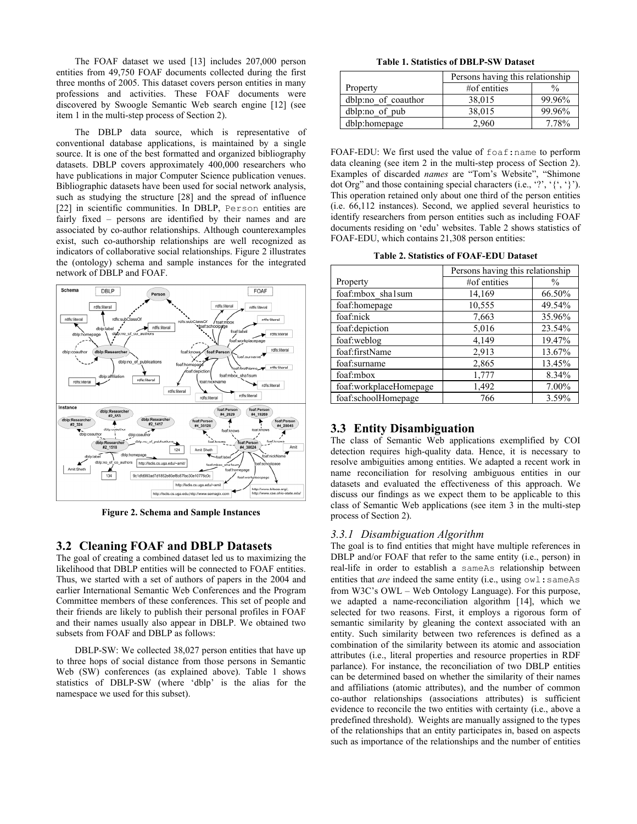The FOAF dataset we used [13] includes 207,000 person entities from 49,750 FOAF documents collected during the first three months of 2005. This dataset covers person entities in many professions and activities. These FOAF documents were discovered by Swoogle Semantic Web search engine [12] (see item 1 in the multi-step process of Section 2).

The DBLP data source, which is representative of conventional database applications, is maintained by a single source. It is one of the best formatted and organized bibliography datasets. DBLP covers approximately 400,000 researchers who have publications in major Computer Science publication venues. Bibliographic datasets have been used for social network analysis, such as studying the structure [28] and the spread of influence [22] in scientific communities. In DBLP, Person entities are fairly fixed – persons are identified by their names and are associated by co-author relationships. Although counterexamples exist, such co-authorship relationships are well recognized as indicators of collaborative social relationships. Figure 2 illustrates the (ontology) schema and sample instances for the integrated network of DBLP and FOAF.



**Figure 2. Schema and Sample Instances** 

## **3.2 Cleaning FOAF and DBLP Datasets**

The goal of creating a combined dataset led us to maximizing the likelihood that DBLP entities will be connected to FOAF entities. Thus, we started with a set of authors of papers in the 2004 and earlier International Semantic Web Conferences and the Program Committee members of these conferences. This set of people and their friends are likely to publish their personal profiles in FOAF and their names usually also appear in DBLP. We obtained two subsets from FOAF and DBLP as follows:

DBLP-SW: We collected 38,027 person entities that have up to three hops of social distance from those persons in Semantic Web (SW) conferences (as explained above). Table 1 shows statistics of DBLP-SW (where 'dblp' is the alias for the namespace we used for this subset).

**Table 1. Statistics of DBLP-SW Dataset** 

|                     | Persons having this relationship |               |  |  |  |  |  |  |
|---------------------|----------------------------------|---------------|--|--|--|--|--|--|
| Property            | #of entities                     | $\frac{0}{0}$ |  |  |  |  |  |  |
| dblp:no of coauthor | 38,015                           | 99.96%        |  |  |  |  |  |  |
| dblp:no of pub      | 38,015                           | 99.96%        |  |  |  |  |  |  |
| dblp:homepage       | 2.960                            | 7 7 8%        |  |  |  |  |  |  |

FOAF-EDU: We first used the value of foaf:name to perform data cleaning (see item 2 in the multi-step process of Section 2). Examples of discarded *names* are "Tom's Website", "Shimone dot Org" and those containing special characters (i.e., '?', '{', '}'). This operation retained only about one third of the person entities (i.e. 66,112 instances). Second, we applied several heuristics to identify researchers from person entities such as including FOAF documents residing on 'edu' websites. Table 2 shows statistics of FOAF-EDU, which contains 21,308 person entities:

**Table 2. Statistics of FOAF-EDU Dataset** 

|                        | Persons having this relationship |               |
|------------------------|----------------------------------|---------------|
| Property               | #of entities                     | $\frac{0}{0}$ |
| foaf:mbox sha1sum      | 14,169                           | 66.50%        |
| foaf:homepage          | 10,555                           | 49.54%        |
| foaf:nick              | 7,663                            | 35.96%        |
| foaf:depiction         | 5,016                            | 23.54%        |
| foaf:weblog            | 4,149                            | 19.47%        |
| foaf:firstName         | 2,913                            | 13.67%        |
| foaf:surname           | 2,865                            | 13.45%        |
| foaf:mbox              | 1,777                            | 8.34%         |
| foaf:workplaceHomepage | 1,492                            | 7.00%         |
| foaf:schoolHomepage    | 766                              | 3.59%         |

# **3.3 Entity Disambiguation**

The class of Semantic Web applications exemplified by COI detection requires high-quality data. Hence, it is necessary to resolve ambiguities among entities. We adapted a recent work in name reconciliation for resolving ambiguous entities in our datasets and evaluated the effectiveness of this approach. We discuss our findings as we expect them to be applicable to this class of Semantic Web applications (see item 3 in the multi-step process of Section 2).

#### *3.3.1 Disambiguation Algorithm*

The goal is to find entities that might have multiple references in DBLP and/or FOAF that refer to the same entity (i.e., person) in real-life in order to establish a sameAs relationship between entities that *are* indeed the same entity (i.e., using  $ow1:sameAs$ from W3C's OWL – Web Ontology Language). For this purpose, we adapted a name-reconciliation algorithm [14], which we selected for two reasons. First, it employs a rigorous form of semantic similarity by gleaning the context associated with an entity. Such similarity between two references is defined as a combination of the similarity between its atomic and association attributes (i.e., literal properties and resource properties in RDF parlance). For instance, the reconciliation of two DBLP entities can be determined based on whether the similarity of their names and affiliations (atomic attributes), and the number of common co-author relationships (associations attributes) is sufficient evidence to reconcile the two entities with certainty (i.e., above a predefined threshold). Weights are manually assigned to the types of the relationships that an entity participates in, based on aspects such as importance of the relationships and the number of entities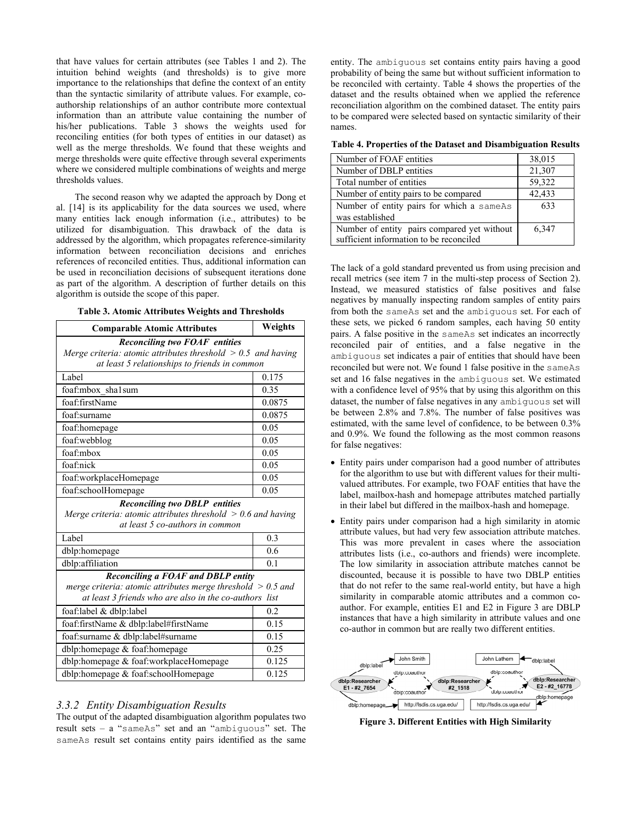that have values for certain attributes (see Tables 1 and 2). The intuition behind weights (and thresholds) is to give more importance to the relationships that define the context of an entity than the syntactic similarity of attribute values. For example, coauthorship relationships of an author contribute more contextual information than an attribute value containing the number of his/her publications. Table 3 shows the weights used for reconciling entities (for both types of entities in our dataset) as well as the merge thresholds. We found that these weights and merge thresholds were quite effective through several experiments where we considered multiple combinations of weights and merge thresholds values.

The second reason why we adapted the approach by Dong et al. [14] is its applicability for the data sources we used, where many entities lack enough information (i.e., attributes) to be utilized for disambiguation. This drawback of the data is addressed by the algorithm, which propagates reference-similarity information between reconciliation decisions and enriches references of reconciled entities. Thus, additional information can be used in reconciliation decisions of subsequent iterations done as part of the algorithm. A description of further details on this algorithm is outside the scope of this paper.

| <b>Comparable Atomic Attributes</b>                                                                                                                           | Weights |  |  |  |  |  |  |  |
|---------------------------------------------------------------------------------------------------------------------------------------------------------------|---------|--|--|--|--|--|--|--|
| <b>Reconciling two FOAF entities</b><br>Merge criteria: atomic attributes threshold $> 0.5$ and having<br>at least 5 relationships to friends in common       |         |  |  |  |  |  |  |  |
| Label                                                                                                                                                         | 0.175   |  |  |  |  |  |  |  |
| foaf:mbox sha1sum                                                                                                                                             | 0.35    |  |  |  |  |  |  |  |
| foaf:firstName                                                                                                                                                | 0.0875  |  |  |  |  |  |  |  |
| foaf:surname                                                                                                                                                  | 0.0875  |  |  |  |  |  |  |  |
| foaf:homepage                                                                                                                                                 | 0.05    |  |  |  |  |  |  |  |
| foaf:webblog                                                                                                                                                  | 0.05    |  |  |  |  |  |  |  |
| foaf mbox                                                                                                                                                     | 0.05    |  |  |  |  |  |  |  |
| foaf:nick                                                                                                                                                     | 0.05    |  |  |  |  |  |  |  |
| foaf:workplaceHomepage                                                                                                                                        | 0.05    |  |  |  |  |  |  |  |
| foaf:schoolHomepage                                                                                                                                           | 0.05    |  |  |  |  |  |  |  |
| <b>Reconciling two DBLP</b> entities<br>Merge criteria: atomic attributes threshold $> 0.6$ and having<br>at least 5 co-authors in common                     |         |  |  |  |  |  |  |  |
| Label                                                                                                                                                         | 0.3     |  |  |  |  |  |  |  |
| dblp:homepage                                                                                                                                                 | 0.6     |  |  |  |  |  |  |  |
| dblp:affiliation                                                                                                                                              | 0.1     |  |  |  |  |  |  |  |
| Reconciling a FOAF and DBLP entity<br>merge criteria: atomic attributes merge threshold $> 0.5$ and<br>at least 3 friends who are also in the co-authors list |         |  |  |  |  |  |  |  |
| foaf:label & dblp:label                                                                                                                                       | 0.2     |  |  |  |  |  |  |  |
| foaf:firstName & dblp:label#firstName                                                                                                                         | 0.15    |  |  |  |  |  |  |  |
| foaf:surname & dblp:label#surname                                                                                                                             | 0.15    |  |  |  |  |  |  |  |
| dblp:homepage & foaf:homepage                                                                                                                                 | 0.25    |  |  |  |  |  |  |  |
| dblp:homepage & foaf:workplaceHomepage                                                                                                                        | 0.125   |  |  |  |  |  |  |  |
| dblp:homepage & foaf:schoolHomepage                                                                                                                           | 0.125   |  |  |  |  |  |  |  |

## *3.3.2 Entity Disambiguation Results*

The output of the adapted disambiguation algorithm populates two result sets – a "sameAs" set and an "ambiguous" set. The sameAs result set contains entity pairs identified as the same

entity. The ambiguous set contains entity pairs having a good probability of being the same but without sufficient information to be reconciled with certainty. Table 4 shows the properties of the dataset and the results obtained when we applied the reference reconciliation algorithm on the combined dataset. The entity pairs to be compared were selected based on syntactic similarity of their names.

**Table 4. Properties of the Dataset and Disambiguation Results** 

| Number of FOAF entities                     | 38,015 |
|---------------------------------------------|--------|
| Number of DBLP entities                     | 21,307 |
| Total number of entities                    | 59,322 |
| Number of entity pairs to be compared       | 42,433 |
| Number of entity pairs for which a sameAs   | 633    |
| was established                             |        |
| Number of entity pairs compared yet without | 6,347  |
| sufficient information to be reconciled     |        |

The lack of a gold standard prevented us from using precision and recall metrics (see item 7 in the multi-step process of Section 2). Instead, we measured statistics of false positives and false negatives by manually inspecting random samples of entity pairs from both the sameAs set and the ambiguous set. For each of these sets, we picked 6 random samples, each having 50 entity pairs. A false positive in the sameAs set indicates an incorrectly reconciled pair of entities, and a false negative in the ambiguous set indicates a pair of entities that should have been reconciled but were not. We found 1 false positive in the sameAs set and 16 false negatives in the ambiguous set. We estimated with a confidence level of 95% that by using this algorithm on this dataset, the number of false negatives in any ambiguous set will be between 2.8% and 7.8%. The number of false positives was estimated, with the same level of confidence, to be between 0.3% and 0.9%. We found the following as the most common reasons for false negatives:

- Entity pairs under comparison had a good number of attributes for the algorithm to use but with different values for their multivalued attributes. For example, two FOAF entities that have the label, mailbox-hash and homepage attributes matched partially in their label but differed in the mailbox-hash and homepage.
- Entity pairs under comparison had a high similarity in atomic attribute values, but had very few association attribute matches. This was more prevalent in cases where the association attributes lists (i.e., co-authors and friends) were incomplete. The low similarity in association attribute matches cannot be discounted, because it is possible to have two DBLP entities that do not refer to the same real-world entity, but have a high similarity in comparable atomic attributes and a common coauthor. For example, entities E1 and E2 in Figure 3 are DBLP instances that have a high similarity in attribute values and one co-author in common but are really two different entities.



**Figure 3. Different Entities with High Similarity**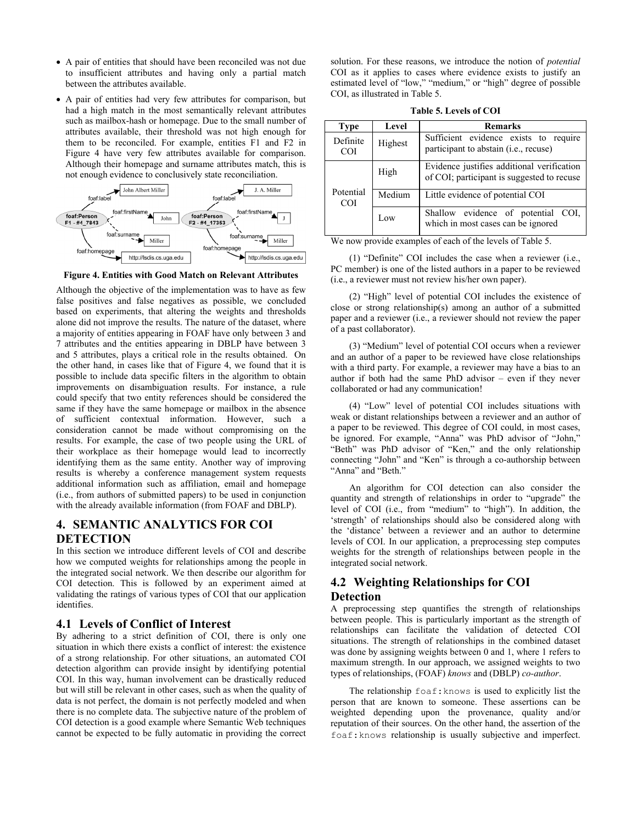- A pair of entities that should have been reconciled was not due to insufficient attributes and having only a partial match between the attributes available.
- A pair of entities had very few attributes for comparison, but had a high match in the most semantically relevant attributes such as mailbox-hash or homepage. Due to the small number of attributes available, their threshold was not high enough for them to be reconciled. For example, entities F1 and F2 in Figure 4 have very few attributes available for comparison. Although their homepage and surname attributes match, this is not enough evidence to conclusively state reconciliation.



**Figure 4. Entities with Good Match on Relevant Attributes** 

Although the objective of the implementation was to have as few false positives and false negatives as possible, we concluded based on experiments, that altering the weights and thresholds alone did not improve the results. The nature of the dataset, where a majority of entities appearing in FOAF have only between 3 and 7 attributes and the entities appearing in DBLP have between 3 and 5 attributes, plays a critical role in the results obtained. On the other hand, in cases like that of Figure 4, we found that it is possible to include data specific filters in the algorithm to obtain improvements on disambiguation results. For instance, a rule could specify that two entity references should be considered the same if they have the same homepage or mailbox in the absence of sufficient contextual information. However, such a consideration cannot be made without compromising on the results. For example, the case of two people using the URL of their workplace as their homepage would lead to incorrectly identifying them as the same entity. Another way of improving results is whereby a conference management system requests additional information such as affiliation, email and homepage (i.e., from authors of submitted papers) to be used in conjunction with the already available information (from FOAF and DBLP).

# **4. SEMANTIC ANALYTICS FOR COI DETECTION**

In this section we introduce different levels of COI and describe how we computed weights for relationships among the people in the integrated social network. We then describe our algorithm for COI detection. This is followed by an experiment aimed at validating the ratings of various types of COI that our application identifies.

# **4.1 Levels of Conflict of Interest**

By adhering to a strict definition of COI, there is only one situation in which there exists a conflict of interest: the existence of a strong relationship. For other situations, an automated COI detection algorithm can provide insight by identifying potential COI. In this way, human involvement can be drastically reduced but will still be relevant in other cases, such as when the quality of data is not perfect, the domain is not perfectly modeled and when there is no complete data. The subjective nature of the problem of COI detection is a good example where Semantic Web techniques cannot be expected to be fully automatic in providing the correct

solution. For these reasons, we introduce the notion of *potential* COI as it applies to cases where evidence exists to justify an estimated level of "low," "medium," or "high" degree of possible COI, as illustrated in Table 5.

| <b>Type</b>             | Level   | <b>Remarks</b>                                                                           |  |  |  |  |  |  |  |  |  |  |
|-------------------------|---------|------------------------------------------------------------------------------------------|--|--|--|--|--|--|--|--|--|--|
| Definite<br><b>COI</b>  | Highest | Sufficient evidence exists to require<br>participant to abstain ( <i>i.e.</i> , recuse)  |  |  |  |  |  |  |  |  |  |  |
| Potential<br><b>COI</b> | High    | Evidence justifies additional verification<br>of COI; participant is suggested to recuse |  |  |  |  |  |  |  |  |  |  |
|                         | Medium  | Little evidence of potential COI                                                         |  |  |  |  |  |  |  |  |  |  |
|                         | Low     | Shallow evidence of potential COI,<br>which in most cases can be ignored                 |  |  |  |  |  |  |  |  |  |  |

We now provide examples of each of the levels of Table 5.

(1) "Definite" COI includes the case when a reviewer (i.e., PC member) is one of the listed authors in a paper to be reviewed (i.e., a reviewer must not review his/her own paper).

(2) "High" level of potential COI includes the existence of close or strong relationship(s) among an author of a submitted paper and a reviewer (i.e., a reviewer should not review the paper of a past collaborator).

(3) "Medium" level of potential COI occurs when a reviewer and an author of a paper to be reviewed have close relationships with a third party. For example, a reviewer may have a bias to an author if both had the same PhD advisor – even if they never collaborated or had any communication!

(4) "Low" level of potential COI includes situations with weak or distant relationships between a reviewer and an author of a paper to be reviewed. This degree of COI could, in most cases, be ignored. For example, "Anna" was PhD advisor of "John," "Beth" was PhD advisor of "Ken," and the only relationship connecting "John" and "Ken" is through a co-authorship between "Anna" and "Beth."

An algorithm for COI detection can also consider the quantity and strength of relationships in order to "upgrade" the level of COI (i.e., from "medium" to "high"). In addition, the 'strength' of relationships should also be considered along with the 'distance' between a reviewer and an author to determine levels of COI. In our application, a preprocessing step computes weights for the strength of relationships between people in the integrated social network.

# **4.2 Weighting Relationships for COI Detection**

A preprocessing step quantifies the strength of relationships between people. This is particularly important as the strength of relationships can facilitate the validation of detected COI situations. The strength of relationships in the combined dataset was done by assigning weights between 0 and 1, where 1 refers to maximum strength. In our approach, we assigned weights to two types of relationships, (FOAF) *knows* and (DBLP) *co-author*.

The relationship foaf:knows is used to explicitly list the person that are known to someone. These assertions can be weighted depending upon the provenance, quality and/or reputation of their sources. On the other hand, the assertion of the foaf:knows relationship is usually subjective and imperfect.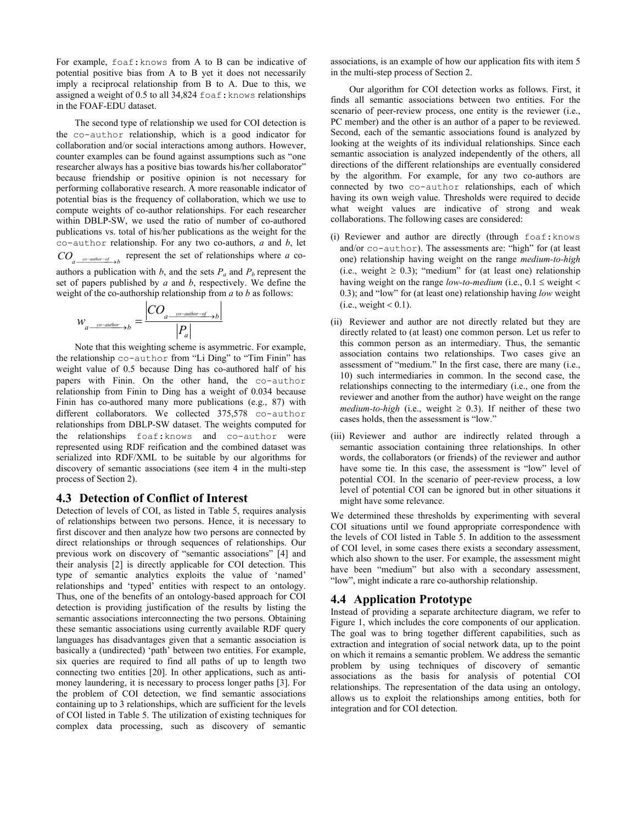For example, foaf:knows from A to B can be indicative of potential positive bias from A to B yet it does not necessarily imply a reciprocal relationship from B to A. Due to this, we assigned a weight of 0.5 to all  $34,824$  foaf: knows relationships in the FOAF-EDU dataset.

The second type of relationship we used for COI detection is the co-author relationship, which is a good indicator for collaboration and/or social interactions among authors. However, counter examples can be found against assumptions such as "one researcher always has a positive bias towards his/her collaborator" because friendship or positive opinion is not necessary for performing collaborative research. A more reasonable indicator of potential bias is the frequency of collaboration, which we use to compute weights of co-author relationships. For each researcher within DBLP-SW, we used the ratio of number of co-authored publications vs. total of his/her publications as the weight for the co-author relationship. For any two co-authors, *a* and *b*, let  $CO$ <sub>*a*  $\frac{co-aulator - of}{s}$ </sub> represent the set of relationships where *a* coauthors a publication with *b*, and the sets  $P_a$  and  $P_b$  represent the set of papers published by *a* and *b*, respectively. We define the weight of the co-authorship relationship from *a* to *b* as follows:

$$
W_{a \underbrace{\quad \text{co-author}\quad\quad \rightarrow b}} = \frac{|CO_{a \underbrace{\quad \text{co-author}\quad \rightarrow b}}|}{|P_a|}
$$

Note that this weighting scheme is asymmetric. For example, the relationship co-author from "Li Ding" to "Tim Finin" has weight value of 0.5 because Ding has co-authored half of his papers with Finin. On the other hand, the co-author relationship from Finin to Ding has a weight of 0.034 because Finin has co-authored many more publications (e.g., 87) with different collaborators. We collected 375,578 co-author relationships from DBLP-SW dataset. The weights computed for the relationships foaf:knows and co-author were represented using RDF reification and the combined dataset was serialized into RDF/XML to be suitable by our algorithms for discovery of semantic associations (see item 4 in the multi-step process of Section 2).

## **4.3 Detection of Conflict of Interest**

Detection of levels of COI, as listed in Table 5, requires analysis of relationships between two persons. Hence, it is necessary to first discover and then analyze how two persons are connected by direct relationships or through sequences of relationships. Our previous work on discovery of "semantic associations" [4] and their analysis [2] is directly applicable for COI detection. This type of semantic analytics exploits the value of 'named' relationships and 'typed' entities with respect to an ontology. Thus, one of the benefits of an ontology-based approach for COI detection is providing justification of the results by listing the semantic associations interconnecting the two persons. Obtaining these semantic associations using currently available RDF query languages has disadvantages given that a semantic association is basically a (undirected) 'path' between two entities. For example, six queries are required to find all paths of up to length two connecting two entities [20]. In other applications, such as antimoney laundering, it is necessary to process longer paths [3]. For the problem of COI detection, we find semantic associations containing up to 3 relationships, which are sufficient for the levels of COI listed in Table 5. The utilization of existing techniques for complex data processing, such as discovery of semantic

associations, is an example of how our application fits with item 5 in the multi-step process of Section 2.

Our algorithm for COI detection works as follows. First, it finds all semantic associations between two entities. For the scenario of peer-review process, one entity is the reviewer (i.e., PC member) and the other is an author of a paper to be reviewed. Second, each of the semantic associations found is analyzed by looking at the weights of its individual relationships. Since each semantic association is analyzed independently of the others, all directions of the different relationships are eventually considered by the algorithm. For example, for any two co-authors are connected by two co-author relationships, each of which having its own weigh value. Thresholds were required to decide what weight values are indicative of strong and weak collaborations. The following cases are considered:

- (i) Reviewer and author are directly (through foaf:knows and/or co-author). The assessments are: "high" for (at least one) relationship having weight on the range *medium-to-high* (i.e., weight  $\geq$  0.3); "medium" for (at least one) relationship having weight on the range *low-to-medium* (i.e.,  $0.1 \le$  weight < 0.3); and "low" for (at least one) relationship having *low* weight  $(i.e., weight < 0.1)$ .
- (ii) Reviewer and author are not directly related but they are directly related to (at least) one common person. Let us refer to this common person as an intermediary. Thus, the semantic association contains two relationships. Two cases give an assessment of "medium." In the first case, there are many (i.e., 10) such intermediaries in common. In the second case, the relationships connecting to the intermediary (i.e., one from the reviewer and another from the author) have weight on the range *medium-to-high* (i.e., weight  $\geq$  0.3). If neither of these two cases holds, then the assessment is "low."
- (iii) Reviewer and author are indirectly related through a semantic association containing three relationships. In other words, the collaborators (or friends) of the reviewer and author have some tie. In this case, the assessment is "low" level of potential COI. In the scenario of peer-review process, a low level of potential COI can be ignored but in other situations it might have some relevance.

We determined these thresholds by experimenting with several COI situations until we found appropriate correspondence with the levels of COI listed in Table 5. In addition to the assessment of COI level, in some cases there exists a secondary assessment, which also shown to the user. For example, the assessment might have been "medium" but also with a secondary assessment, "low", might indicate a rare co-authorship relationship.

## **4.4 Application Prototype**

Instead of providing a separate architecture diagram, we refer to Figure 1, which includes the core components of our application. The goal was to bring together different capabilities, such as extraction and integration of social network data, up to the point on which it remains a semantic problem. We address the semantic problem by using techniques of discovery of semantic associations as the basis for analysis of potential COI relationships. The representation of the data using an ontology, allows us to exploit the relationships among entities, both for integration and for COI detection.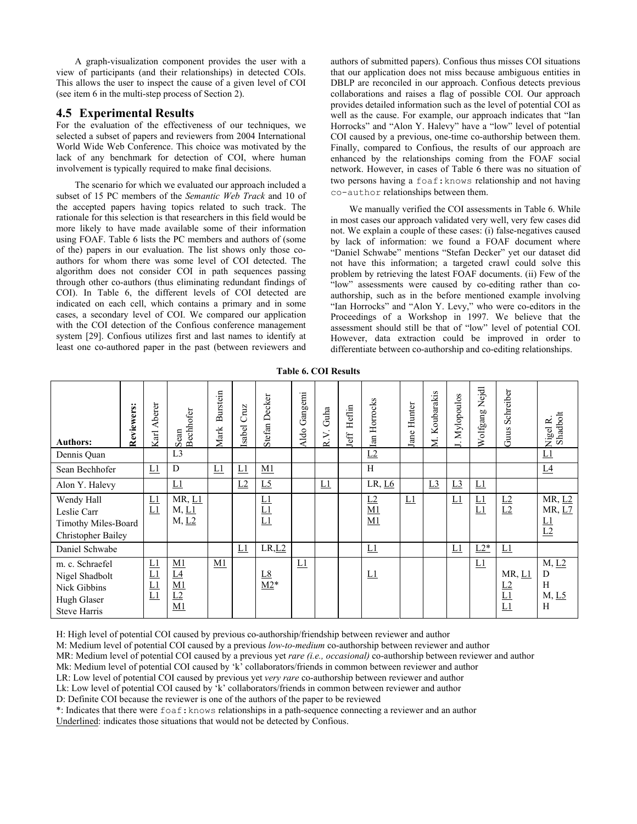A graph-visualization component provides the user with a view of participants (and their relationships) in detected COIs. This allows the user to inspect the cause of a given level of COI (see item 6 in the multi-step process of Section 2).

## **4.5 Experimental Results**

For the evaluation of the effectiveness of our techniques, we selected a subset of papers and reviewers from 2004 International World Wide Web Conference. This choice was motivated by the lack of any benchmark for detection of COI, where human involvement is typically required to make final decisions.

The scenario for which we evaluated our approach included a subset of 15 PC members of the *Semantic Web Track* and 10 of the accepted papers having topics related to such track. The rationale for this selection is that researchers in this field would be more likely to have made available some of their information using FOAF. Table 6 lists the PC members and authors of (some of the) papers in our evaluation. The list shows only those coauthors for whom there was some level of COI detected. The algorithm does not consider COI in path sequences passing through other co-authors (thus eliminating redundant findings of COI). In Table 6, the different levels of COI detected are indicated on each cell, which contains a primary and in some cases, a secondary level of COI. We compared our application with the COI detection of the Confious conference management system [29]. Confious utilizes first and last names to identify at least one co-authored paper in the past (between reviewers and

authors of submitted papers). Confious thus misses COI situations that our application does not miss because ambiguous entities in DBLP are reconciled in our approach. Confious detects previous collaborations and raises a flag of possible COI. Our approach provides detailed information such as the level of potential COI as well as the cause. For example, our approach indicates that "Ian Horrocks" and "Alon Y. Halevy" have a "low" level of potential COI caused by a previous, one-time co-authorship between them. Finally, compared to Confious, the results of our approach are enhanced by the relationships coming from the FOAF social network. However, in cases of Table 6 there was no situation of two persons having a foaf:knows relationship and not having co-author relationships between them.

We manually verified the COI assessments in Table 6. While in most cases our approach validated very well, very few cases did not. We explain a couple of these cases: (i) false-negatives caused by lack of information: we found a FOAF document where "Daniel Schwabe" mentions "Stefan Decker" yet our dataset did not have this information; a targeted crawl could solve this problem by retrieving the latest FOAF documents. (ii) Few of the "low" assessments were caused by co-editing rather than coauthorship, such as in the before mentioned example involving "Ian Horrocks" and "Alon Y. Levy," who were co-editors in the Proceedings of a Workshop in 1997. We believe that the assessment should still be that of "low" level of potential COI. However, data extraction could be improved in order to differentiate between co-authorship and co-editing relationships.

**Table 6. COI Results** 

| <b>Authors:</b>                                                                         | Reviewers: | Aberer<br>Karl       | Bechhofer<br>Sean                                      | Burstein<br>Mark | Cruz<br>sabel | <b>Stefan Decker</b>                                                                   | Gangemi<br>Aldo | Guha<br>R.V | Heflin<br>$J$ eff | Ian Horrocks   | Hunter<br>Jane | Koubarakis<br>$\geq$ | Mylopoulos<br>$\overline{a}$ | Nejdl<br>Wolfgang | Schreiber<br>Guus <sup>1</sup>                                                                                     | Shadbolt<br>Nigel R.          |
|-----------------------------------------------------------------------------------------|------------|----------------------|--------------------------------------------------------|------------------|---------------|----------------------------------------------------------------------------------------|-----------------|-------------|-------------------|----------------|----------------|----------------------|------------------------------|-------------------|--------------------------------------------------------------------------------------------------------------------|-------------------------------|
| Dennis Quan                                                                             |            |                      | L <sub>3</sub>                                         |                  |               |                                                                                        |                 |             |                   | L2             |                |                      |                              |                   |                                                                                                                    | L1                            |
| Sean Bechhofer                                                                          |            | L1                   | D                                                      | L1               | L1            | $\underline{M1}$                                                                       |                 |             |                   | H              |                |                      |                              |                   |                                                                                                                    | L4                            |
| Alon Y. Halevy                                                                          |            |                      | L1                                                     |                  | L2            | L5                                                                                     |                 | L1          |                   | LR, L6         |                | L3                   | L3                           | L1                |                                                                                                                    |                               |
| Wendy Hall<br>Leslie Carr<br>Timothy Miles-Board<br><b>Christopher Bailey</b>           |            | L1<br>L1             | MR, L1<br>M, L1<br>M, L2                               |                  |               | $\frac{\underline{\text{L1}}}{\underline{\text{L1}}}\underline{\underline{\text{L1}}}$ |                 |             |                   | L2<br>M1<br>M1 | L1             |                      | L1                           | L1<br>L1          | $\frac{L2}{L2}$                                                                                                    | MR, L2<br>MR, L7<br>L1<br>L2  |
| Daniel Schwabe                                                                          |            |                      |                                                        |                  | L1            | LR, L2                                                                                 |                 |             |                   | L1             |                |                      | L1                           | $L2*$             | L1                                                                                                                 |                               |
| m. c. Schraefel<br>Nigel Shadbolt<br>Nick Gibbins<br>Hugh Glaser<br><b>Steve Harris</b> |            | L1<br>L1<br>L1<br>L1 | $\frac{\text{M1}}{\text{L4}}$<br>$\frac{M1}{L2}$<br>M1 | M1               |               | $rac{L8}{M2*}$                                                                         | L1              |             |                   | L1             |                |                      |                              | L1                | MR, L1<br>$\begin{array}{c}\underline{\mathbf{L2}}\\ \underline{\mathbf{L1}}\\ \underline{\mathbf{L1}}\end{array}$ | M, L2<br>D<br>H<br>M, L5<br>H |

H: High level of potential COI caused by previous co-authorship/friendship between reviewer and author

M: Medium level of potential COI caused by a previous *low-to-medium* co-authorship between reviewer and author

MR: Medium level of potential COI caused by a previous yet *rare (i.e., occasional)* co-authorship between reviewer and author

Mk: Medium level of potential COI caused by 'k' collaborators/friends in common between reviewer and author

LR: Low level of potential COI caused by previous yet *very rare* co-authorship between reviewer and author

Lk: Low level of potential COI caused by 'k' collaborators/friends in common between reviewer and author

D: Definite COI because the reviewer is one of the authors of the paper to be reviewed

\*: Indicates that there were foaf:knows relationships in a path-sequence connecting a reviewer and an author

Underlined: indicates those situations that would not be detected by Confious.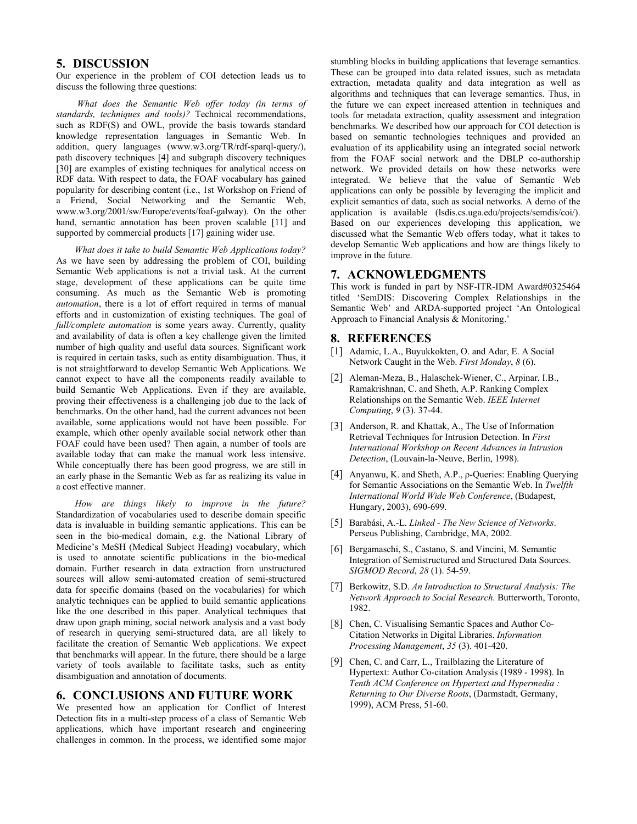## **5. DISCUSSION**

Our experience in the problem of COI detection leads us to discuss the following three questions:

*What does the Semantic Web offer today (in terms of standards, techniques and tools)?* Technical recommendations, such as RDF(S) and OWL, provide the basis towards standard knowledge representation languages in Semantic Web. In addition, query languages (www.w3.org/TR/rdf-sparql-query/), path discovery techniques [4] and subgraph discovery techniques [30] are examples of existing techniques for analytical access on RDF data. With respect to data, the FOAF vocabulary has gained popularity for describing content (i.e., 1st Workshop on Friend of a Friend, Social Networking and the Semantic Web, www.w3.org/2001/sw/Europe/events/foaf-galway). On the other hand, semantic annotation has been proven scalable [11] and supported by commercial products [17] gaining wider use.

*What does it take to build Semantic Web Applications today?* As we have seen by addressing the problem of COI, building Semantic Web applications is not a trivial task. At the current stage, development of these applications can be quite time consuming. As much as the Semantic Web is promoting *automation*, there is a lot of effort required in terms of manual efforts and in customization of existing techniques. The goal of *full/complete automation* is some years away. Currently, quality and availability of data is often a key challenge given the limited number of high quality and useful data sources. Significant work is required in certain tasks, such as entity disambiguation. Thus, it is not straightforward to develop Semantic Web Applications. We cannot expect to have all the components readily available to build Semantic Web Applications. Even if they are available, proving their effectiveness is a challenging job due to the lack of benchmarks. On the other hand, had the current advances not been available, some applications would not have been possible. For example, which other openly available social network other than FOAF could have been used? Then again, a number of tools are available today that can make the manual work less intensive. While conceptually there has been good progress, we are still in an early phase in the Semantic Web as far as realizing its value in a cost effective manner.

*How are things likely to improve in the future?* Standardization of vocabularies used to describe domain specific data is invaluable in building semantic applications. This can be seen in the bio-medical domain, e.g. the National Library of Medicine's MeSH (Medical Subject Heading) vocabulary, which is used to annotate scientific publications in the bio-medical domain. Further research in data extraction from unstructured sources will allow semi-automated creation of semi-structured data for specific domains (based on the vocabularies) for which analytic techniques can be applied to build semantic applications like the one described in this paper. Analytical techniques that draw upon graph mining, social network analysis and a vast body of research in querying semi-structured data, are all likely to facilitate the creation of Semantic Web applications. We expect that benchmarks will appear. In the future, there should be a large variety of tools available to facilitate tasks, such as entity disambiguation and annotation of documents.

# **6. CONCLUSIONS AND FUTURE WORK**

We presented how an application for Conflict of Interest Detection fits in a multi-step process of a class of Semantic Web applications, which have important research and engineering challenges in common. In the process, we identified some major

stumbling blocks in building applications that leverage semantics. These can be grouped into data related issues, such as metadata extraction, metadata quality and data integration as well as algorithms and techniques that can leverage semantics. Thus, in the future we can expect increased attention in techniques and tools for metadata extraction, quality assessment and integration benchmarks. We described how our approach for COI detection is based on semantic technologies techniques and provided an evaluation of its applicability using an integrated social network from the FOAF social network and the DBLP co-authorship network. We provided details on how these networks were integrated. We believe that the value of Semantic Web applications can only be possible by leveraging the implicit and explicit semantics of data, such as social networks. A demo of the application is available (lsdis.cs.uga.edu/projects/semdis/coi/). Based on our experiences developing this application, we discussed what the Semantic Web offers today, what it takes to develop Semantic Web applications and how are things likely to improve in the future.

## **7. ACKNOWLEDGMENTS**

This work is funded in part by NSF-ITR-IDM Award#0325464 titled 'SemDIS: Discovering Complex Relationships in the Semantic Web' and ARDA-supported project 'An Ontological Approach to Financial Analysis & Monitoring.'

## **8. REFERENCES**

- [1] Adamic, L.A., Buyukkokten, O. and Adar, E. A Social Network Caught in the Web. *First Monday*, *8* (6).
- [2] Aleman-Meza, B., Halaschek-Wiener, C., Arpinar, I.B., Ramakrishnan, C. and Sheth, A.P. [Ranking Complex](http://lsdis.cs.uga.edu/library/download/AHARS05-Ranking-IC.pdf)  [Relationships on the Semantic Web.](http://lsdis.cs.uga.edu/library/download/AHARS05-Ranking-IC.pdf) *IEEE Internet Computing*, *9* (3). 37-44.
- [3] Anderson, R. and Khattak, A., The Use of Information Retrieval Techniques for Intrusion Detection. In *First International Workshop on Recent Advances in Intrusion Detection*, (Louvain-la-Neuve, Berlin, 1998).
- [4] Anyanwu, K. and Sheth, A.P., ρ[-Queries: Enabling Querying](http://lsdis.cs.uga.edu/lib/download/AS03-WWW.pdf)  [for Semantic Associations on the Semantic Web.](http://lsdis.cs.uga.edu/lib/download/AS03-WWW.pdf) In *Twelfth International World Wide Web Conference*, (Budapest, Hungary, 2003), 690-699.
- [5] Barabási, A.-L. *Linked The New Science of Networks*. Perseus Publishing, Cambridge, MA, 2002.
- [6] Bergamaschi, S., Castano, S. and Vincini, M. Semantic Integration of Semistructured and Structured Data Sources. *SIGMOD Record*, *28* (1). 54-59.
- [7] Berkowitz, S.D. *An Introduction to Structural Analysis: The Network Approach to Social Research*. Butterworth, Toronto, 1982.
- [8] Chen, C. Visualising Semantic Spaces and Author Co-Citation Networks in Digital Libraries. *Information Processing Management*, *35* (3). 401-420.
- [9] Chen, C. and Carr, L., Trailblazing the Literature of Hypertext: Author Co-citation Analysis (1989 - 1998). In *Tenth ACM Conference on Hypertext and Hypermedia : Returning to Our Diverse Roots*, (Darmstadt, Germany, 1999), ACM Press, 51-60.